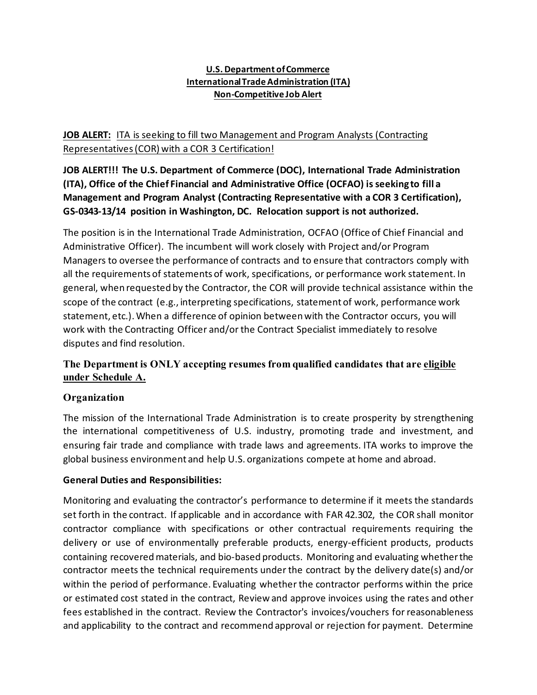#### **U.S. Department of Commerce International Trade Administration (ITA) Non-Competitive Job Alert**

# **JOB ALERT:** ITA is seeking to fill two Management and Program Analysts (Contracting Representatives (COR) with a COR 3 Certification!

**JOB ALERT!!! The U.S. Department of Commerce (DOC), International Trade Administration (ITA), Office of the Chief Financial and Administrative Office (OCFAO) is seeking to fill a Management and Program Analyst (Contracting Representative with a COR 3 Certification), GS-0343-13/14 position in Washington, DC. Relocation support is not authorized.**

The position is in the International Trade Administration, OCFAO (Office of Chief Financial and Administrative Officer). The incumbent will work closely with Project and/or Program Managers to oversee the performance of contracts and to ensure that contractors comply with all the requirements of statements of work, specifications, or performance work statement. In general, when requested by the Contractor, the COR will provide technical assistance within the scope of the contract (e.g., interpreting specifications, statement of work, performance work statement, etc.). When a difference of opinion between with the Contractor occurs, you will work with the Contracting Officer and/or the Contract Specialist immediately to resolve disputes and find resolution.

# **The Department is ONLY accepting resumes from qualified candidates that are eligible under Schedule A.**

# **Organization**

The mission of the International Trade Administration is to create prosperity by strengthening the international competitiveness of U.S. industry, promoting trade and investment, and ensuring fair trade and compliance with trade laws and agreements. ITA works to improve the global business environment and help U.S. organizations compete at home and abroad.

#### **General Duties and Responsibilities:**

Monitoring and evaluating the contractor's performance to determine if it meets the standards set forth in the contract. If applicable and in accordance with FAR 42.302, the COR shall monitor contractor compliance with specifications or other contractual requirements requiring the delivery or use of environmentally preferable products, energy-efficient products, products containing recovered materials, and bio-based products. Monitoring and evaluating whether the contractor meets the technical requirements under the contract by the delivery date(s) and/or within the period of performance. Evaluating whether the contractor performs within the price or estimated cost stated in the contract, Review and approve invoices using the rates and other fees established in the contract. Review the Contractor's invoices/vouchers for reasonableness and applicability to the contract and recommend approval or rejection for payment. Determine